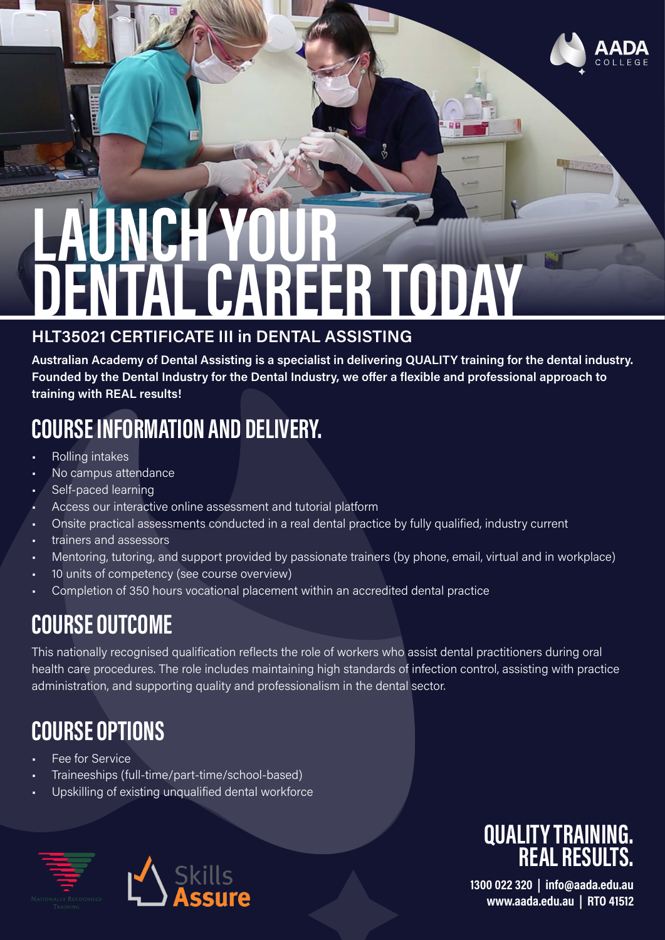

# **LAUNCH YOUR REER TODAY**

#### **HLT35021 CERTIFICATE III in DENTAL ASSISTING**

**Australian Academy of Dental Assisting is a specialist in delivering QUALITY training for the dental industry. Founded by the Dental Industry for the Dental Industry, we offer a flexible and professional approach to training with REAL results!**

# **COURSE INFORMATION AND DELIVERY.**

- Rolling intakes
- No campus attendance
- Self-paced learning
- Access our interactive online assessment and tutorial platform
- Onsite practical assessments conducted in a real dental practice by fully qualified, industry current
- trainers and assessors
- Mentoring, tutoring, and support provided by passionate trainers (by phone, email, virtual and in workplace)
- 10 units of competency (see course overview)
- Completion of 350 hours vocational placement within an accredited dental practice

# **COURSE OUTCOME**

This nationally recognised qualification reflects the role of workers who assist dental practitioners during oral health care procedures. The role includes maintaining high standards of infection control, assisting with practice administration, and supporting quality and professionalism in the dental sector.

# **COURSE OPTIONS**

- Fee for Service
- Traineeships (full-time/part-time/school-based)
- Upskilling of existing unqualified dental workforce





### **QUALITY TRAINING. REAL RESULTS.**

**1300 022 320 | info@aada.edu.au www.aada.edu.au | RTO 41512**